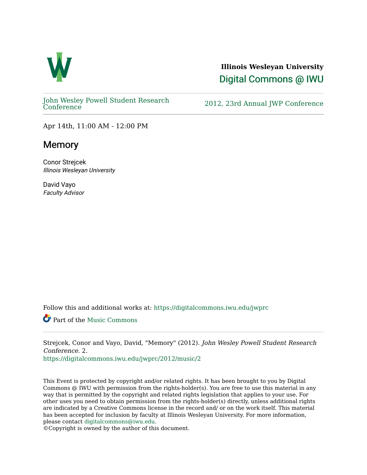

**Illinois Wesleyan University**  [Digital Commons @ IWU](https://digitalcommons.iwu.edu/) 

[John Wesley Powell Student Research](https://digitalcommons.iwu.edu/jwprc) 

2012, 23rd Annual JWP [Conference](https://digitalcommons.iwu.edu/jwprc)

Apr 14th, 11:00 AM - 12:00 PM

## **Memory**

Conor Strejcek Illinois Wesleyan University

David Vayo Faculty Advisor

Follow this and additional works at: [https://digitalcommons.iwu.edu/jwprc](https://digitalcommons.iwu.edu/jwprc?utm_source=digitalcommons.iwu.edu%2Fjwprc%2F2012%2Fmusic%2F2&utm_medium=PDF&utm_campaign=PDFCoverPages) 

Part of the [Music Commons](http://network.bepress.com/hgg/discipline/518?utm_source=digitalcommons.iwu.edu%2Fjwprc%2F2012%2Fmusic%2F2&utm_medium=PDF&utm_campaign=PDFCoverPages)

Strejcek, Conor and Vayo, David, "Memory" (2012). John Wesley Powell Student Research Conference. 2.

[https://digitalcommons.iwu.edu/jwprc/2012/music/2](https://digitalcommons.iwu.edu/jwprc/2012/music/2?utm_source=digitalcommons.iwu.edu%2Fjwprc%2F2012%2Fmusic%2F2&utm_medium=PDF&utm_campaign=PDFCoverPages) 

This Event is protected by copyright and/or related rights. It has been brought to you by Digital Commons @ IWU with permission from the rights-holder(s). You are free to use this material in any way that is permitted by the copyright and related rights legislation that applies to your use. For other uses you need to obtain permission from the rights-holder(s) directly, unless additional rights are indicated by a Creative Commons license in the record and/ or on the work itself. This material has been accepted for inclusion by faculty at Illinois Wesleyan University. For more information, please contact [digitalcommons@iwu.edu.](mailto:digitalcommons@iwu.edu)

©Copyright is owned by the author of this document.